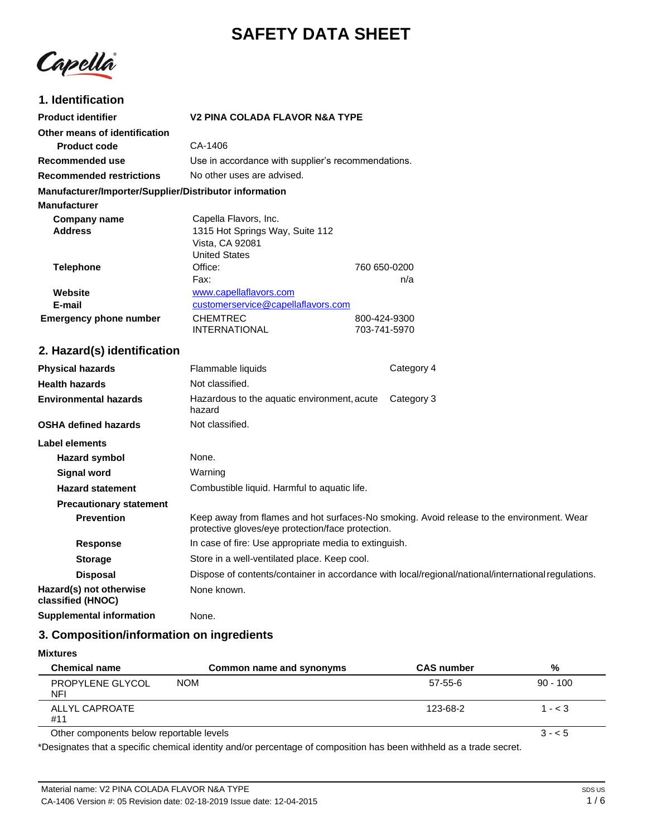# **SAFETY DATA SHEET**

Capella

## **1. Identification**

| <b>Product identifier</b>                              | V2 PINA COLADA FLAVOR N&A TYPE                     |              |
|--------------------------------------------------------|----------------------------------------------------|--------------|
| Other means of identification                          |                                                    |              |
| <b>Product code</b>                                    | CA-1406                                            |              |
| Recommended use                                        | Use in accordance with supplier's recommendations. |              |
| <b>Recommended restrictions</b>                        | No other uses are advised.                         |              |
| Manufacturer/Importer/Supplier/Distributor information |                                                    |              |
| <b>Manufacturer</b>                                    |                                                    |              |
| Company name                                           | Capella Flavors, Inc.                              |              |
| <b>Address</b>                                         | 1315 Hot Springs Way, Suite 112                    |              |
|                                                        | Vista, CA 92081                                    |              |
|                                                        | <b>United States</b>                               |              |
| Telephone                                              | Office:                                            | 760 650-0200 |
|                                                        | Fax:                                               | n/a          |
| Website                                                | www.capellaflavors.com                             |              |
| E-mail                                                 | customerservice@capellaflavors.com                 |              |
| <b>Emergency phone number</b>                          | <b>CHEMTREC</b>                                    | 800-424-9300 |
|                                                        | INTERNATIONAL                                      | 703-741-5970 |

## **2. Hazard(s) identification**

| <b>Physical hazards</b>                      | Flammable liquids                                                                                   | Category 4                                                                                |
|----------------------------------------------|-----------------------------------------------------------------------------------------------------|-------------------------------------------------------------------------------------------|
| <b>Health hazards</b>                        | Not classified.                                                                                     |                                                                                           |
| <b>Environmental hazards</b>                 | Hazardous to the aquatic environment, acute<br>hazard                                               | Category 3                                                                                |
| <b>OSHA defined hazards</b>                  | Not classified.                                                                                     |                                                                                           |
| Label elements                               |                                                                                                     |                                                                                           |
| Hazard symbol                                | None.                                                                                               |                                                                                           |
| Signal word                                  | Warning                                                                                             |                                                                                           |
| <b>Hazard statement</b>                      | Combustible liquid. Harmful to aquatic life.                                                        |                                                                                           |
| <b>Precautionary statement</b>               |                                                                                                     |                                                                                           |
| <b>Prevention</b>                            | protective gloves/eye protection/face protection.                                                   | Keep away from flames and hot surfaces-No smoking. Avoid release to the environment. Wear |
| <b>Response</b>                              | In case of fire: Use appropriate media to extinguish.                                               |                                                                                           |
| <b>Storage</b>                               | Store in a well-ventilated place. Keep cool.                                                        |                                                                                           |
| <b>Disposal</b>                              | Dispose of contents/container in accordance with local/regional/national/international regulations. |                                                                                           |
| Hazard(s) not otherwise<br>classified (HNOC) | None known.                                                                                         |                                                                                           |
| Supplemental information                     | None.                                                                                               |                                                                                           |

## **3. Composition/information on ingredients**

|  | Mixtures |  |
|--|----------|--|
|--|----------|--|

| <b>Chemical name</b>                     | Common name and synonyms | <b>CAS number</b> | %          |
|------------------------------------------|--------------------------|-------------------|------------|
| PROPYLENE GLYCOL<br>NFI                  | <b>NOM</b>               | 57-55-6           | $90 - 100$ |
| ALLYL CAPROATE<br>#11                    |                          | 123-68-2          | $1 - < 3$  |
| Other components below reportable levels |                          |                   | $3 - 5$    |

\*Designates that a specific chemical identity and/or percentage of composition has been withheld as a trade secret.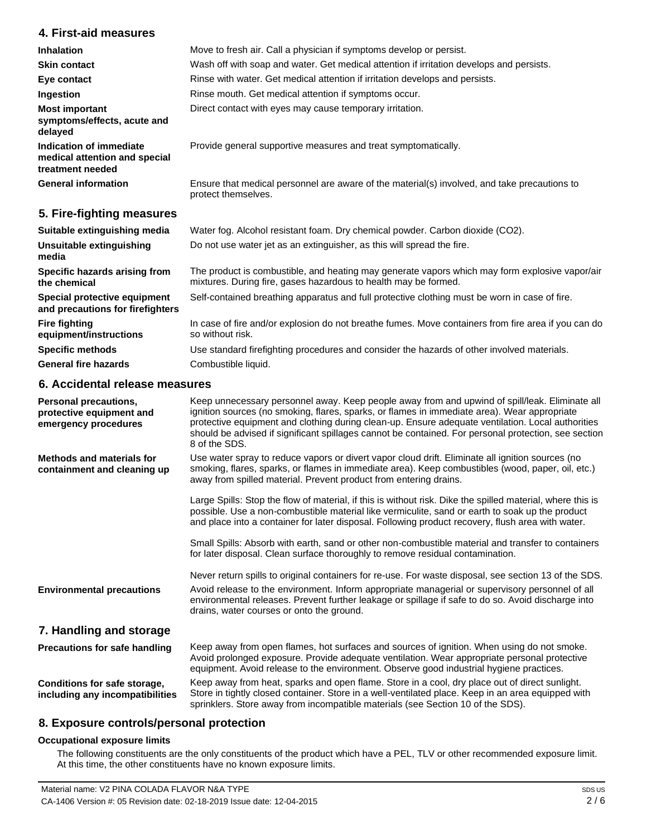### **4. First-aid measures**

| <b>Inhalation</b>                                                            | Move to fresh air. Call a physician if symptoms develop or persist.                                                 |
|------------------------------------------------------------------------------|---------------------------------------------------------------------------------------------------------------------|
|                                                                              |                                                                                                                     |
| <b>Skin contact</b>                                                          | Wash off with soap and water. Get medical attention if irritation develops and persists.                            |
| Eye contact                                                                  | Rinse with water. Get medical attention if irritation develops and persists.                                        |
| Ingestion                                                                    | Rinse mouth. Get medical attention if symptoms occur.                                                               |
| <b>Most important</b><br>symptoms/effects, acute and<br>delayed              | Direct contact with eyes may cause temporary irritation.                                                            |
| Indication of immediate<br>medical attention and special<br>treatment needed | Provide general supportive measures and treat symptomatically.                                                      |
| <b>General information</b>                                                   | Ensure that medical personnel are aware of the material(s) involved, and take precautions to<br>protect themselves. |
| 5. Fire-fighting measures                                                    |                                                                                                                     |

| Suitable extinguishing media                                     | Water fog. Alcohol resistant foam. Dry chemical powder. Carbon dioxide (CO2).                                                                                     |
|------------------------------------------------------------------|-------------------------------------------------------------------------------------------------------------------------------------------------------------------|
| Unsuitable extinguishing<br>media                                | Do not use water jet as an extinguisher, as this will spread the fire.                                                                                            |
| Specific hazards arising from<br>the chemical                    | The product is combustible, and heating may generate vapors which may form explosive vapor/air<br>mixtures. During fire, gases hazardous to health may be formed. |
| Special protective equipment<br>and precautions for firefighters | Self-contained breathing apparatus and full protective clothing must be worn in case of fire.                                                                     |
| <b>Fire fighting</b><br>equipment/instructions                   | In case of fire and/or explosion do not breathe fumes. Move containers from fire area if you can do<br>so without risk.                                           |
| <b>Specific methods</b>                                          | Use standard firefighting procedures and consider the hazards of other involved materials.                                                                        |
| <b>General fire hazards</b>                                      | Combustible liquid.                                                                                                                                               |

## **6. Accidental release measures**

| <b>Personal precautions,</b><br>protective equipment and<br>emergency procedures | Keep unnecessary personnel away. Keep people away from and upwind of spill/leak. Eliminate all<br>ignition sources (no smoking, flares, sparks, or flames in immediate area). Wear appropriate<br>protective equipment and clothing during clean-up. Ensure adequate ventilation. Local authorities<br>should be advised if significant spillages cannot be contained. For personal protection, see section<br>8 of the SDS. |
|----------------------------------------------------------------------------------|------------------------------------------------------------------------------------------------------------------------------------------------------------------------------------------------------------------------------------------------------------------------------------------------------------------------------------------------------------------------------------------------------------------------------|
| <b>Methods and materials for</b><br>containment and cleaning up                  | Use water spray to reduce vapors or divert vapor cloud drift. Eliminate all ignition sources (no<br>smoking, flares, sparks, or flames in immediate area). Keep combustibles (wood, paper, oil, etc.)<br>away from spilled material. Prevent product from entering drains.                                                                                                                                                   |
|                                                                                  | Large Spills: Stop the flow of material, if this is without risk. Dike the spilled material, where this is<br>possible. Use a non-combustible material like vermiculite, sand or earth to soak up the product<br>and place into a container for later disposal. Following product recovery, flush area with water.                                                                                                           |
|                                                                                  | Small Spills: Absorb with earth, sand or other non-combustible material and transfer to containers<br>for later disposal. Clean surface thoroughly to remove residual contamination.                                                                                                                                                                                                                                         |
| <b>Environmental precautions</b>                                                 | Never return spills to original containers for re-use. For waste disposal, see section 13 of the SDS.<br>Avoid release to the environment. Inform appropriate managerial or supervisory personnel of all<br>environmental releases. Prevent further leakage or spillage if safe to do so. Avoid discharge into<br>drains, water courses or onto the ground.                                                                  |
| 7. Handling and storage                                                          |                                                                                                                                                                                                                                                                                                                                                                                                                              |
| <b>Precautions for safe handling</b>                                             | Keep away from open flames, hot surfaces and sources of ignition. When using do not smoke.<br>Avoid prolonged exposure. Provide adequate ventilation. Wear appropriate personal protective<br>equipment. Avoid release to the environment. Observe good industrial hygiene practices.                                                                                                                                        |
| Conditions for safe storage,<br>including any incompatibilities                  | Keep away from heat, sparks and open flame. Store in a cool, dry place out of direct sunlight.<br>Store in tightly closed container. Store in a well-ventilated place. Keep in an area equipped with<br>sprinklers. Store away from incompatible materials (see Section 10 of the SDS).                                                                                                                                      |

### **8. Exposure controls/personal protection**

### **Occupational exposure limits**

The following constituents are the only constituents of the product which have a PEL, TLV or other recommended exposure limit. At this time, the other constituents have no known exposure limits.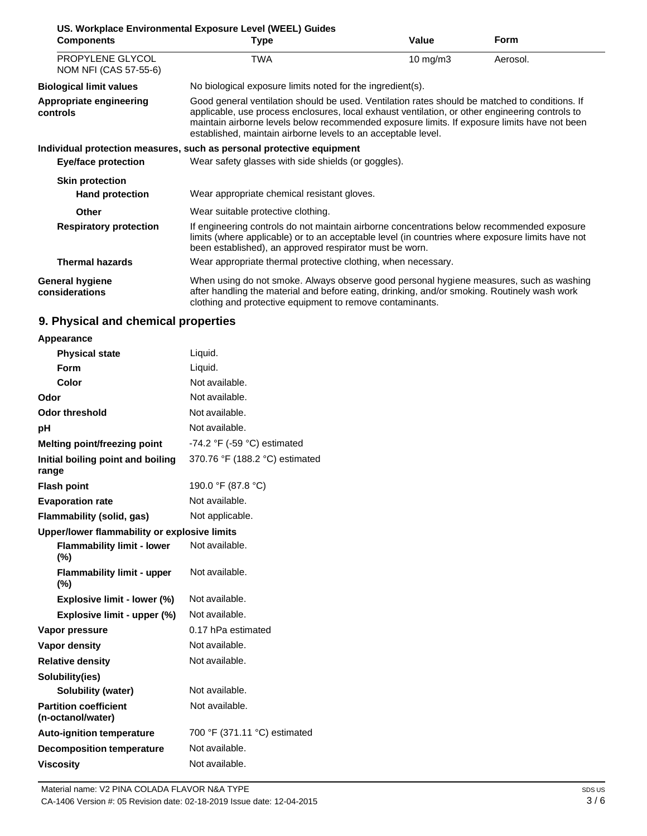| <b>Components</b>                         | US. Workplace Environmental Exposure Level (WEEL) Guides<br>Type                                                                                                                                                                                                                                                                                                   | Value       | Form     |
|-------------------------------------------|--------------------------------------------------------------------------------------------------------------------------------------------------------------------------------------------------------------------------------------------------------------------------------------------------------------------------------------------------------------------|-------------|----------|
| PROPYLENE GLYCOL<br>NOM NFI (CAS 57-55-6) | TWA                                                                                                                                                                                                                                                                                                                                                                | 10 mg/m $3$ | Aerosol. |
| <b>Biological limit values</b>            | No biological exposure limits noted for the ingredient(s).                                                                                                                                                                                                                                                                                                         |             |          |
| Appropriate engineering<br>controls       | Good general ventilation should be used. Ventilation rates should be matched to conditions. If<br>applicable, use process enclosures, local exhaust ventilation, or other engineering controls to<br>maintain airborne levels below recommended exposure limits. If exposure limits have not been<br>established, maintain airborne levels to an acceptable level. |             |          |
|                                           | Individual protection measures, such as personal protective equipment                                                                                                                                                                                                                                                                                              |             |          |
| <b>Eye/face protection</b>                | Wear safety glasses with side shields (or goggles).                                                                                                                                                                                                                                                                                                                |             |          |
| <b>Skin protection</b>                    |                                                                                                                                                                                                                                                                                                                                                                    |             |          |
| <b>Hand protection</b>                    | Wear appropriate chemical resistant gloves.                                                                                                                                                                                                                                                                                                                        |             |          |
| <b>Other</b>                              | Wear suitable protective clothing.                                                                                                                                                                                                                                                                                                                                 |             |          |
| <b>Respiratory protection</b>             | If engineering controls do not maintain airborne concentrations below recommended exposure<br>limits (where applicable) or to an acceptable level (in countries where exposure limits have not<br>been established), an approved respirator must be worn.                                                                                                          |             |          |
| <b>Thermal hazards</b>                    | Wear appropriate thermal protective clothing, when necessary.                                                                                                                                                                                                                                                                                                      |             |          |
| General hygiene<br>considerations         | When using do not smoke. Always observe good personal hygiene measures, such as washing<br>after handling the material and before eating, drinking, and/or smoking. Routinely wash work<br>clothing and protective equipment to remove contaminants.                                                                                                               |             |          |

## **9. Physical and chemical properties**

| Appearance                                        |                                |  |
|---------------------------------------------------|--------------------------------|--|
| <b>Physical state</b>                             | Liquid.                        |  |
| <b>Form</b>                                       | Liquid.                        |  |
| Color                                             | Not available.                 |  |
| Odor                                              | Not available.                 |  |
| <b>Odor threshold</b>                             | Not available.                 |  |
| рH                                                | Not available.                 |  |
| <b>Melting point/freezing point</b>               | -74.2 °F (-59 °C) estimated    |  |
| Initial boiling point and boiling<br>range        | 370.76 °F (188.2 °C) estimated |  |
| <b>Flash point</b>                                | 190.0 °F (87.8 °C)             |  |
| <b>Evaporation rate</b>                           | Not available.                 |  |
| Flammability (solid, gas)                         | Not applicable.                |  |
| Upper/lower flammability or explosive limits      |                                |  |
| <b>Flammability limit - lower</b><br>$(\%)$       | Not available.                 |  |
| <b>Flammability limit - upper</b><br>(%)          | Not available.                 |  |
| Explosive limit - lower (%)                       | Not available.                 |  |
| Explosive limit - upper (%)                       | Not available.                 |  |
| Vapor pressure                                    | 0.17 hPa estimated             |  |
| <b>Vapor density</b>                              | Not available.                 |  |
| <b>Relative density</b>                           | Not available.                 |  |
| Solubility(ies)                                   |                                |  |
| <b>Solubility (water)</b>                         | Not available.                 |  |
| <b>Partition coefficient</b><br>(n-octanol/water) | Not available.                 |  |
| <b>Auto-ignition temperature</b>                  | 700 °F (371.11 °C) estimated   |  |
| <b>Decomposition temperature</b>                  | Not available.                 |  |
| <b>Viscositv</b>                                  | Not available.                 |  |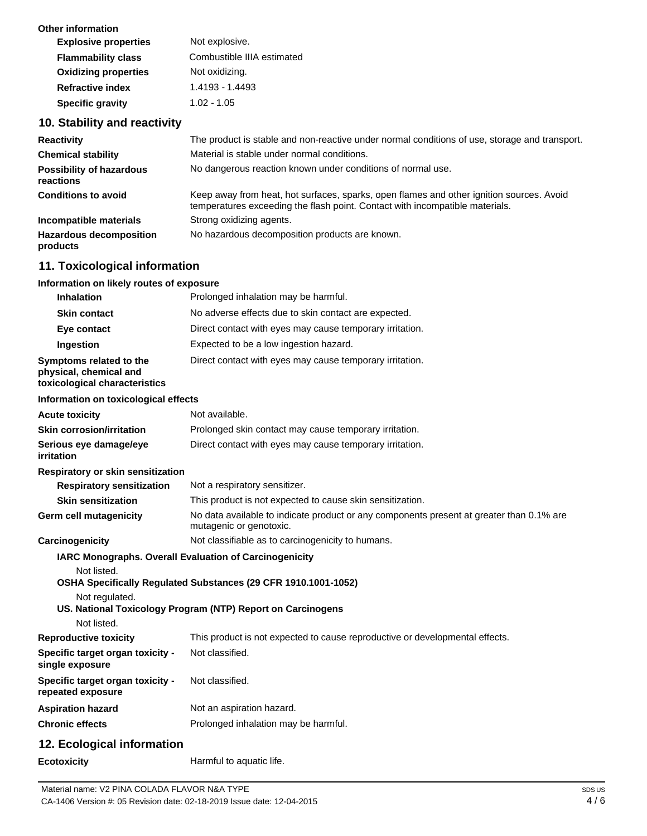| Other information           |                            |
|-----------------------------|----------------------------|
| <b>Explosive properties</b> | Not explosive.             |
| <b>Flammability class</b>   | Combustible IIIA estimated |
| <b>Oxidizing properties</b> | Not oxidizing.             |
| <b>Refractive index</b>     | 1.4193 - 1.4493            |
| <b>Specific gravity</b>     | $1.02 - 1.05$              |
|                             |                            |

## **10. Stability and reactivity**

| <b>Reactivity</b>                            | The product is stable and non-reactive under normal conditions of use, storage and transport.                                                                            |
|----------------------------------------------|--------------------------------------------------------------------------------------------------------------------------------------------------------------------------|
| <b>Chemical stability</b>                    | Material is stable under normal conditions.                                                                                                                              |
| <b>Possibility of hazardous</b><br>reactions | No dangerous reaction known under conditions of normal use.                                                                                                              |
| <b>Conditions to avoid</b>                   | Keep away from heat, hot surfaces, sparks, open flames and other ignition sources. Avoid<br>temperatures exceeding the flash point. Contact with incompatible materials. |
| Incompatible materials                       | Strong oxidizing agents.                                                                                                                                                 |
| <b>Hazardous decomposition</b><br>products   | No hazardous decomposition products are known.                                                                                                                           |

## **11. Toxicological information**

#### **Information on likely routes of exposure Inhalation Inhalation** Prolonged inhalation may be harmful.

| <b>Innalation</b>                                                                  | Proionged innalation may be namitul.                                                                                |
|------------------------------------------------------------------------------------|---------------------------------------------------------------------------------------------------------------------|
| <b>Skin contact</b>                                                                | No adverse effects due to skin contact are expected.                                                                |
| Eye contact                                                                        | Direct contact with eyes may cause temporary irritation.                                                            |
| Ingestion                                                                          | Expected to be a low ingestion hazard.                                                                              |
| Symptoms related to the<br>physical, chemical and<br>toxicological characteristics | Direct contact with eyes may cause temporary irritation.                                                            |
| Information on toxicological effects                                               |                                                                                                                     |
| <b>Acute toxicity</b>                                                              | Not available.                                                                                                      |
| <b>Skin corrosion/irritation</b>                                                   | Prolonged skin contact may cause temporary irritation.                                                              |
| Serious eye damage/eye<br><i>irritation</i>                                        | Direct contact with eyes may cause temporary irritation.                                                            |
| Respiratory or skin sensitization                                                  |                                                                                                                     |
| <b>Respiratory sensitization</b>                                                   | Not a respiratory sensitizer.                                                                                       |
| <b>Skin sensitization</b>                                                          | This product is not expected to cause skin sensitization.                                                           |
| <b>Germ cell mutagenicity</b>                                                      | No data available to indicate product or any components present at greater than 0.1% are<br>mutagenic or genotoxic. |
| Carcinogenicity                                                                    | Not classifiable as to carcinogenicity to humans.                                                                   |
|                                                                                    | IARC Monographs. Overall Evaluation of Carcinogenicity                                                              |
| Not listed.<br>Not regulated.                                                      | OSHA Specifically Regulated Substances (29 CFR 1910.1001-1052)                                                      |
|                                                                                    | US. National Toxicology Program (NTP) Report on Carcinogens                                                         |
| Not listed.                                                                        |                                                                                                                     |
| <b>Reproductive toxicity</b>                                                       | This product is not expected to cause reproductive or developmental effects.                                        |
| Specific target organ toxicity -<br>single exposure                                | Not classified.                                                                                                     |
| Specific target organ toxicity -<br>repeated exposure                              | Not classified.                                                                                                     |
| <b>Aspiration hazard</b>                                                           | Not an aspiration hazard.                                                                                           |
| <b>Chronic effects</b>                                                             | Prolonged inhalation may be harmful.                                                                                |
| 12. Ecological information                                                         |                                                                                                                     |
| Ecotoxicity                                                                        | Harmful to aquatic life.                                                                                            |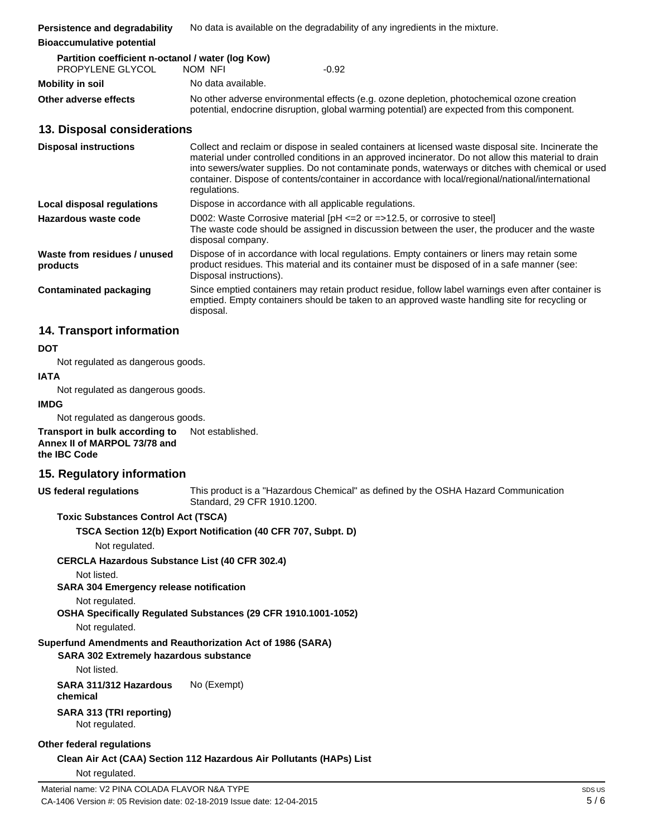**Bioaccumulative potential**

| Partition coefficient n-octanol / water (log Kow) |                                                                                                                                                                                            |         |  |  |
|---------------------------------------------------|--------------------------------------------------------------------------------------------------------------------------------------------------------------------------------------------|---------|--|--|
| PROPYLENE GLYCOL                                  | NOM NFI                                                                                                                                                                                    | $-0.92$ |  |  |
| Mobility in soil                                  | No data available.                                                                                                                                                                         |         |  |  |
| Other adverse effects                             | No other adverse environmental effects (e.g. ozone depletion, photochemical ozone creation<br>potential, endocrine disruption, global warming potential) are expected from this component. |         |  |  |

### **13. Disposal considerations**

| <b>Disposal instructions</b>             | Collect and reclaim or dispose in sealed containers at licensed waste disposal site. Incinerate the<br>material under controlled conditions in an approved incinerator. Do not allow this material to drain<br>into sewers/water supplies. Do not contaminate ponds, waterways or ditches with chemical or used<br>container. Dispose of contents/container in accordance with local/regional/national/international<br>regulations. |  |
|------------------------------------------|--------------------------------------------------------------------------------------------------------------------------------------------------------------------------------------------------------------------------------------------------------------------------------------------------------------------------------------------------------------------------------------------------------------------------------------|--|
| Local disposal regulations               | Dispose in accordance with all applicable regulations.                                                                                                                                                                                                                                                                                                                                                                               |  |
| Hazardous waste code                     | D002: Waste Corrosive material $[PH \le 2$ or $= >12.5$ , or corrosive to steel<br>The waste code should be assigned in discussion between the user, the producer and the waste<br>disposal company.                                                                                                                                                                                                                                 |  |
| Waste from residues / unused<br>products | Dispose of in accordance with local regulations. Empty containers or liners may retain some<br>product residues. This material and its container must be disposed of in a safe manner (see:<br>Disposal instructions).                                                                                                                                                                                                               |  |
| <b>Contaminated packaging</b>            | Since emptied containers may retain product residue, follow label warnings even after container is<br>emptied. Empty containers should be taken to an approved waste handling site for recycling or<br>disposal.                                                                                                                                                                                                                     |  |

## **14. Transport information**

### **DOT**

Not regulated as dangerous goods.

## **IATA**

Not regulated as dangerous goods.

### **IMDG**

Not regulated as dangerous goods.

**Transport in bulk according to Annex II of MARPOL 73/78 and the IBC Code** Not established.

## **15. Regulatory information**

**US federal regulations**

This product is a "Hazardous Chemical" as defined by the OSHA Hazard Communication Standard, 29 CFR 1910.1200.

### **Toxic Substances Control Act (TSCA)**

**TSCA Section 12(b) Export Notification (40 CFR 707, Subpt. D)**

Not regulated.

### **CERCLA Hazardous Substance List (40 CFR 302.4)**

Not listed.

**SARA 304 Emergency release notification**

Not regulated.

**OSHA Specifically Regulated Substances (29 CFR 1910.1001-1052)**

Not regulated.

### **Superfund Amendments and Reauthorization Act of 1986 (SARA)**

**SARA 302 Extremely hazardous substance**

Not listed.

**SARA 311/312 Hazardous chemical** No (Exempt)

#### **SARA 313 (TRI reporting)** Not regulated.

### **Other federal regulations**

**Clean Air Act (CAA) Section 112 Hazardous Air Pollutants (HAPs) List**

Not regulated.